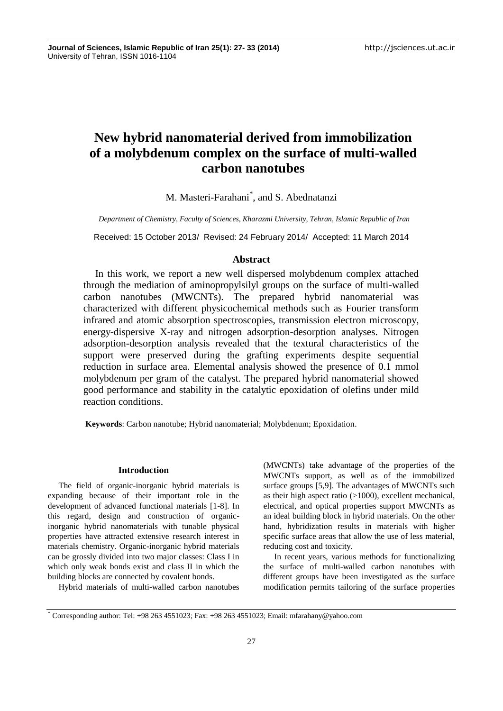# **New hybrid nanomaterial derived from immobilization of a molybdenum complex on the surface of multi-walled carbon nanotubes**

M. Masteri-Farahani\* , and S. Abednatanzi

*Department of Chemistry, Faculty of Sciences, Kharazmi University, Tehran, Islamic Republic of Iran*

Received: 15 October 2013/ Revised: 24 February 2014/ Accepted: 11 March 2014

# **Abstract**

In this work, we report a new well dispersed molybdenum complex attached through the mediation of aminopropylsilyl groups on the surface of multi-walled carbon nanotubes (MWCNTs). The prepared hybrid nanomaterial was characterized with different physicochemical methods such as Fourier transform infrared and atomic absorption spectroscopies, transmission electron microscopy, energy-dispersive X-ray and nitrogen adsorption-desorption analyses. Nitrogen adsorption-desorption analysis revealed that the textural characteristics of the support were preserved during the grafting experiments despite sequential reduction in surface area. Elemental analysis showed the presence of 0.1 mmol molybdenum per gram of the catalyst. The prepared hybrid nanomaterial showed good performance and stability in the catalytic epoxidation of olefins under mild reaction conditions.

**Keywords**: Carbon nanotube; Hybrid nanomaterial; Molybdenum; Epoxidation.

# **Introduction**

The field of organic-inorganic hybrid materials is expanding because of their important role in the development of advanced functional materials [1-8]. In this regard, design and construction of organicinorganic hybrid nanomaterials with tunable physical properties have attracted extensive research interest in materials chemistry. Organic-inorganic hybrid materials can be grossly divided into two major classes: Class I in which only weak bonds exist and class II in which the building blocks are connected by covalent bonds.

Hybrid materials of multi-walled carbon nanotubes

(MWCNTs) take advantage of the properties of the MWCNTs support, as well as of the immobilized surface groups [5,9]. The advantages of MWCNTs such as their high aspect ratio (>1000), excellent mechanical, electrical, and optical properties support MWCNTs as an ideal building block in hybrid materials. On the other hand, hybridization results in materials with higher specific surface areas that allow the use of less material, reducing cost and toxicity.

In recent years, various methods for functionalizing the surface of multi-walled carbon nanotubes with different groups have been investigated as the surface modification permits tailoring of the surface properties

<sup>\*</sup> Corresponding author: Tel: +98 263 4551023; Fax: +98 263 4551023; Email: mfarahany@yahoo.com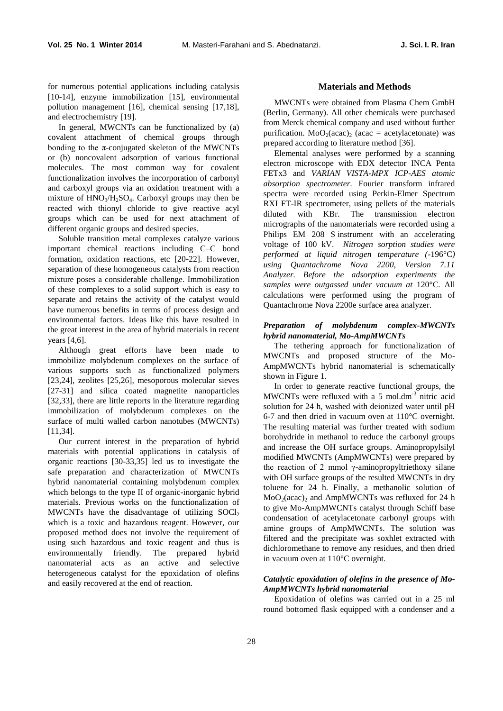for numerous potential applications including catalysis [10-14], enzyme immobilization [15], environmental pollution management [16], chemical sensing [17,18], and electrochemistry [19].

In general, MWCNTs can be functionalized by (a) covalent attachment of chemical groups through bonding to the  $\pi$ -conjugated skeleton of the MWCNTs or (b) noncovalent adsorption of various functional molecules. The most common way for covalent functionalization involves the incorporation of carbonyl and carboxyl groups via an oxidation treatment with a mixture of HNO3/H2SO4. Carboxyl groups may then be reacted with thionyl chloride to give reactive acyl groups which can be used for next attachment of different organic groups and desired species.

Soluble transition metal complexes catalyze various important chemical reactions including C–C bond formation, oxidation reactions, etc [20-22]. However, separation of these homogeneous catalysts from reaction mixture poses a considerable challenge. Immobilization of these complexes to a solid support which is easy to separate and retains the activity of the catalyst would have numerous benefits in terms of process design and environmental factors. Ideas like this have resulted in the great interest in the area of hybrid materials in recent years [4,6].

Although great efforts have been made to immobilize molybdenum complexes on the surface of various supports such as functionalized polymers [23,24], zeolites [25,26], mesoporous molecular sieves [27-31] and silica coated magnetite nanoparticles [32,33], there are little reports in the literature regarding immobilization of molybdenum complexes on the surface of multi walled carbon nanotubes (MWCNTs) [11,34].

Our current interest in the preparation of hybrid materials with potential applications in catalysis of organic reactions [30-33,35] led us to investigate the safe preparation and characterization of MWCNTs hybrid nanomaterial containing molybdenum complex which belongs to the type II of organic-inorganic hybrid materials. Previous works on the functionalization of MWCNTs have the disadvantage of utilizing  $S OCl<sub>2</sub>$ which is a toxic and hazardous reagent. However, our proposed method does not involve the requirement of using such hazardous and toxic reagent and thus is environmentally friendly. The prepared hybrid nanomaterial acts as an active and selective heterogeneous catalyst for the epoxidation of olefins and easily recovered at the end of reaction.

### **Materials and Methods**

MWCNTs were obtained from Plasma Chem GmbH (Berlin, Germany). All other chemicals were purchased from Merck chemical company and used without further purification. MoO<sub>2</sub>(acac)<sub>2</sub> (acac = acetylacetonate) was prepared according to literature method [36].

Elemental analyses were performed by a scanning electron microscope with EDX detector INCA Penta FETx3 and *VARIAN VISTA-MPX ICP-AES atomic absorption spectrometer.* Fourier transform infrared spectra were recorded using Perkin-Elmer Spectrum RXI FT-IR spectrometer, using pellets of the materials diluted with KBr. The transmission electron micrographs of the nanomaterials were recorded using a Philips EM 208 S instrument with an accelerating voltage of 100 kV. *Nitrogen sorption studies were performed at liquid nitrogen temperature (*-196°C*) using Quantachrome Nova 2200, Version 7.11 Analyzer. Before the adsorption experiments the samples were outgassed under vacuum at* 120°C*.* All calculations were performed using the program of Quantachrome Nova 2200e surface area analyzer.

## *Preparation of molybdenum complex-MWCNTs hybrid nanomaterial, Mo-AmpMWCNTs*

The tethering approach for functionalization of MWCNTs and proposed structure of the Mo-AmpMWCNTs hybrid nanomaterial is schematically shown in Figure 1.

In order to generate reactive functional groups, the MWCNTs were refluxed with a 5 mol.dm<sup>-3</sup> nitric acid solution for 24 h, washed with deionized water until pH 6-7 and then dried in vacuum oven at 110°C overnight. The resulting material was further treated with sodium borohydride in methanol to reduce the carbonyl groups and increase the OH surface groups. Aminopropylsilyl modified MWCNTs (AmpMWCNTs) were prepared by the reaction of 2 mmol γ-aminopropyltriethoxy silane with OH surface groups of the resulted MWCNTs in dry toluene for 24 h. Finally, a methanolic solution of  $MoO<sub>2</sub>(acac)<sub>2</sub>$  and AmpMWCNTs was refluxed for 24 h to give Mo-AmpMWCNTs catalyst through Schiff base condensation of acetylacetonate carbonyl groups with amine groups of AmpMWCNTs. The solution was filtered and the precipitate was soxhlet extracted with dichloromethane to remove any residues, and then dried in vacuum oven at 110°C overnight.

# *Catalytic epoxidation of olefins in the presence of Mo-AmpMWCNTs hybrid nanomaterial*

Epoxidation of olefins was carried out in a 25 ml round bottomed flask equipped with a condenser and a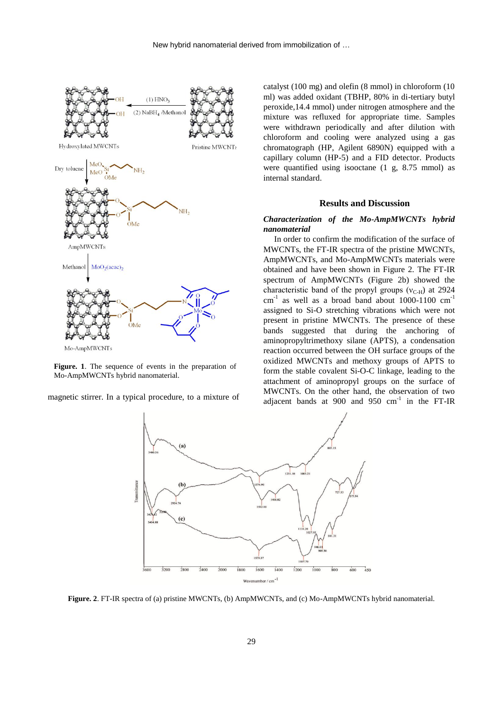

**Figure. 1**. The sequence of events in the preparation of Mo-AmpMWCNTs hybrid nanomaterial.

magnetic stirrer. In a typical procedure, to a mixture of

catalyst (100 mg) and olefin (8 mmol) in chloroform (10 ml) was added oxidant (TBHP, 80% in di-tertiary butyl peroxide,14.4 mmol) under nitrogen atmosphere and the mixture was refluxed for appropriate time. Samples were withdrawn periodically and after dilution with chloroform and cooling were analyzed using a gas chromatograph (HP, Agilent 6890N) equipped with a capillary column (HP-5) and a FID detector. Products were quantified using isooctane (1 g, 8.75 mmol) as internal standard.

#### **Results and Discussion**

# *Characterization of the Mo-AmpMWCNTs hybrid nanomaterial*

In order to confirm the modification of the surface of MWCNTs, the FT-IR spectra of the pristine MWCNTs, AmpMWCNTs, and Mo-AmpMWCNTs materials were obtained and have been shown in Figure 2. The FT-IR spectrum of AmpMWCNTs (Figure 2b) showed the characteristic band of the propyl groups ( $v_{\text{C-H}}$ ) at 2924  $cm<sup>-1</sup>$  as well as a broad band about 1000-1100  $cm<sup>-1</sup>$ assigned to Si-O stretching vibrations which were not present in pristine MWCNTs. The presence of these bands suggested that during the anchoring of aminopropyltrimethoxy silane (APTS), a condensation reaction occurred between the OH surface groups of the oxidized MWCNTs and methoxy groups of APTS to form the stable covalent Si-O-C linkage, leading to the attachment of aminopropyl groups on the surface of MWCNTs. On the other hand, the observation of two adjacent bands at 900 and 950  $cm^{-1}$  in the FT-IR



**Figure. 2**. FT-IR spectra of (a) pristine MWCNTs, (b) AmpMWCNTs, and (c) Mo-AmpMWCNTs hybrid nanomaterial.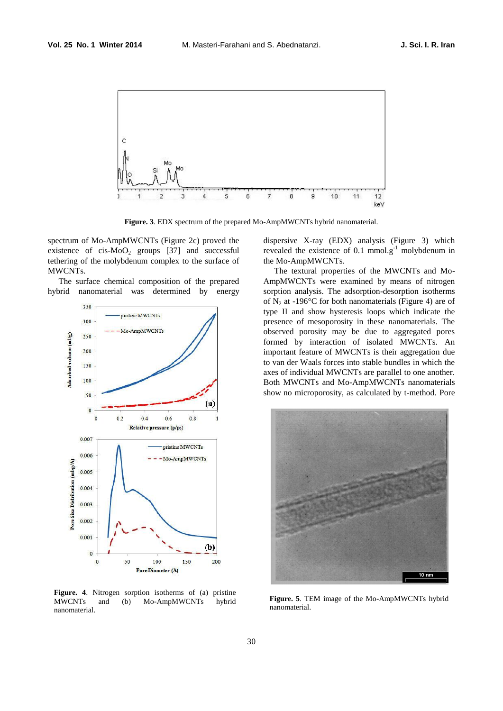

**Figure. 3**. EDX spectrum of the prepared Mo-AmpMWCNTs hybrid nanomaterial.

spectrum of Mo-AmpMWCNTs (Figure 2c) proved the existence of  $cis-MoO<sub>2</sub>$  groups [37] and successful tethering of the molybdenum complex to the surface of MWCNTs.

The surface chemical composition of the prepared hybrid nanomaterial was determined by energy



**Figure. 4**. Nitrogen sorption isotherms of (a) pristine MWCNTs and (b) Mo-AmpMWCNTs hybrid nanomaterial.

dispersive X-ray (EDX) analysis (Figure 3) which revealed the existence of 0.1 mmol.g<sup>-1</sup> molybdenum in the Mo-AmpMWCNTs.

The textural properties of the MWCNTs and Mo-AmpMWCNTs were examined by means of nitrogen sorption analysis. The adsorption-desorption isotherms of  $N_2$  at -196°C for both nanomaterials (Figure 4) are of type II and show hysteresis loops which indicate the presence of mesoporosity in these nanomaterials. The observed porosity may be due to aggregated pores formed by interaction of isolated MWCNTs. An important feature of MWCNTs is their aggregation due to van der Waals forces into stable bundles in which the axes of individual MWCNTs are parallel to one another. Both MWCNTs and Mo-AmpMWCNTs nanomaterials show no microporosity, as calculated by t-method. Pore



**Figure. 5**. TEM image of the Mo-AmpMWCNTs hybrid nanomaterial.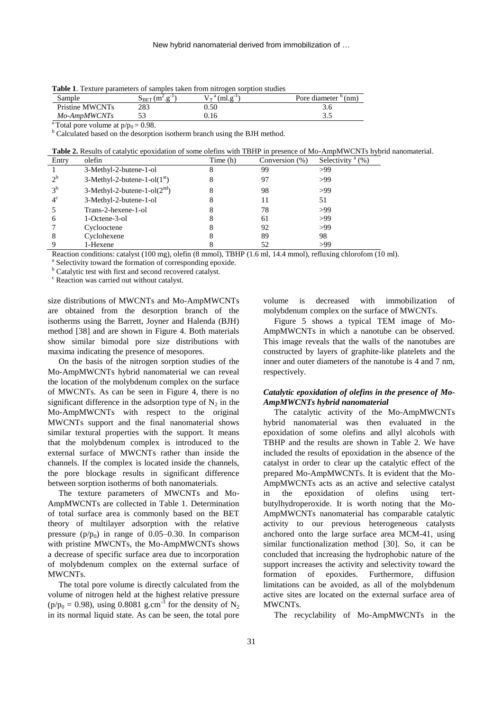**Table 1**. Texture parameters of samples taken from nitrogen sorption studies

| Sample          | $-1$<br>$\sim$<br>$\mathbf{p}_{\text{BET}}$<br>- ш | $\alpha$<br>'ml.e<br>$\sqrt{ }$ | Pore diameter<br>'nm |
|-----------------|----------------------------------------------------|---------------------------------|----------------------|
| Pristine MWCNTs | 283                                                | ).50                            | o.c                  |
| Mo-AmpMWCNTs    |                                                    |                                 | ر. ر                 |

<sup>a</sup> Total pore volume at  $p/p_0 = 0.98$ .

<sup>b</sup> Calculated based on the desorption isotherm branch using the BJH method.

**Table 2.** Results of catalytic epoxidation of some olefins with TBHP in presence of Mo-AmpMWCNTs hybrid nanomaterial.

| Entry          | olefin                         | Time (h) | Conversion (%) | Selectivity <sup>a</sup> $(\%)$ |
|----------------|--------------------------------|----------|----------------|---------------------------------|
|                | 3-Methyl-2-butene-1-ol         | 8        | 99             | >99                             |
| $2^b$          | $3-Methyl-2-butene-1-ol(1st)$  | 8        | 97             | >99                             |
| 3 <sup>b</sup> | 3-Methyl-2-butene-1-ol $(2nd)$ |          | 98             | >99                             |
| $4^{\circ}$    | 3-Methyl-2-butene-1-ol         |          | 11             | 51                              |
|                | Trans-2-hexene-1-ol            |          | 78             | >99                             |
| 6              | 1-Octene-3-ol                  |          | 61             | >99                             |
|                | Cyclooctene                    |          | 92             | >99                             |
| 8              | Cyclohexene                    |          | 89             | 98                              |
|                | 1-Hexene                       |          | 52             | >99                             |

Reaction conditions: catalyst (100 mg), olefin (8 mmol), TBHP (1.6 ml, 14.4 mmol), refluxing chlorofom (10 ml).

a Selectivity toward the formation of corresponding epoxide.

<sup>b</sup> Catalytic test with first and second recovered catalyst.

<sup>c</sup> Reaction was carried out without catalyst.

size distributions of MWCNTs and Mo-AmpMWCNTs are obtained from the desorption branch of the isotherms using the Barrett, Joyner and Halenda (BJH) method [38] and are shown in Figure 4. Both materials show similar bimodal pore size distributions with maxima indicating the presence of mesopores.

On the basis of the nitrogen sorption studies of the Mo-AmpMWCNTs hybrid nanomaterial we can reveal the location of the molybdenum complex on the surface of MWCNTs. As can be seen in Figure 4, there is no significant difference in the adsorption type of  $N_2$  in the Mo-AmpMWCNTs with respect to the original MWCNTs support and the final nanomaterial shows similar textural properties with the support. It means that the molybdenum complex is introduced to the external surface of MWCNTs rather than inside the channels. If the complex is located inside the channels, the pore blockage results in significant difference between sorption isotherms of both nanomaterials.

The texture parameters of MWCNTs and Mo-AmpMWCNTs are collected in Table 1. Determination of total surface area is commonly based on the BET theory of multilayer adsorption with the relative pressure  $(p/p_0)$  in range of 0.05–0.30. In comparison with pristine MWCNTs, the Mo-AmpMWCNTs shows a decrease of specific surface area due to incorporation of molybdenum complex on the external surface of MWCNTs.

The total pore volume is directly calculated from the volume of nitrogen held at the highest relative pressure  $(p/p_0 = 0.98)$ , using 0.8081 g.cm<sup>-3</sup> for the density of N<sub>2</sub> in its normal liquid state. As can be seen, the total pore volume is decreased with immobilization of molybdenum complex on the surface of MWCNTs.

Figure 5 shows a typical TEM image of Mo-AmpMWCNTs in which a nanotube can be observed. This image reveals that the walls of the nanotubes are constructed by layers of graphite-like platelets and the inner and outer diameters of the nanotube is 4 and 7 nm, respectively.

# *Catalytic epoxidation of olefins in the presence of Mo-AmpMWCNTs hybrid nanomaterial*

The catalytic activity of the Mo-AmpMWCNTs hybrid nanomaterial was then evaluated in the epoxidation of some olefins and allyl alcohols with TBHP and the results are shown in Table 2. We have included the results of epoxidation in the absence of the catalyst in order to clear up the catalytic effect of the prepared Mo-AmpMWCNTs. It is evident that the Mo-AmpMWCNTs acts as an active and selective catalyst in the epoxidation of olefins using tertbutylhydroperoxide. It is worth noting that the Mo-AmpMWCNTs nanomaterial has comparable catalytic activity to our previous heterogeneous catalysts anchored onto the large surface area MCM-41, using similar functionalization method [30]. So, it can be concluded that increasing the hydrophobic nature of the support increases the activity and selectivity toward the formation of epoxides. Furthermore, diffusion limitations can be avoided, as all of the molybdenum active sites are located on the external surface area of MWCNTs.

The recyclability of Mo-AmpMWCNTs in the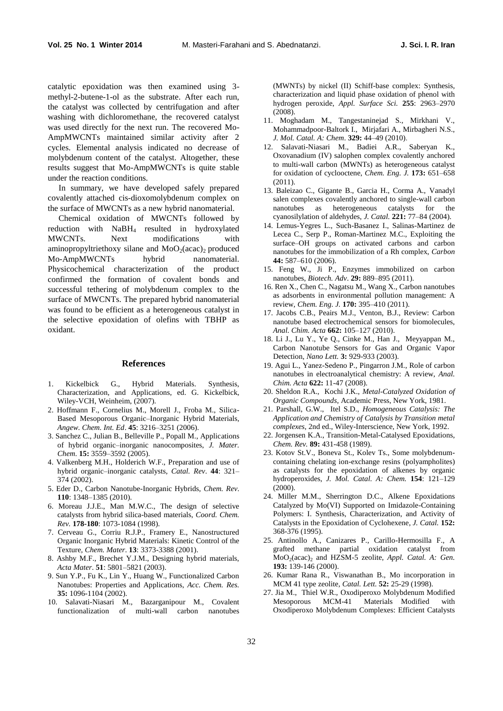catalytic epoxidation was then examined using 3 methyl-2-butene-1-ol as the substrate. After each run, the catalyst was collected by centrifugation and after washing with dichloromethane, the recovered catalyst was used directly for the next run. The recovered Mo-AmpMWCNTs maintained similar activity after 2 cycles. Elemental analysis indicated no decrease of molybdenum content of the catalyst. Altogether, these results suggest that Mo-AmpMWCNTs is quite stable under the reaction conditions.

In summary, we have developed safely prepared covalently attached cis-dioxomolybdenum complex on the surface of MWCNTs as a new hybrid nanomaterial.

Chemical oxidation of MWCNTs followed by reduction with NaBH<sub>4</sub> resulted in hydroxylated<br>MWCNTs. Next modifications with Next modifications with aminopropyltriethoxy silane and  $MoO<sub>2</sub>(acac)<sub>2</sub>$  produced<br>Mo-AmpMWCNTs hybrid nanomaterial. Mo-AmpMWCNTs hybrid nanomaterial. Physicochemical characterization of the product confirmed the formation of covalent bonds and successful tethering of molybdenum complex to the surface of MWCNTs. The prepared hybrid nanomaterial was found to be efficient as a heterogeneous catalyst in the selective epoxidation of olefins with TBHP as oxidant.

# **References**

- 1. Kickelbick G., Hybrid Materials. Synthesis, Characterization, and Applications, ed. G. Kickelbick, Wiley-VCH, Weinheim, (2007).
- 2. Hoffmann F., Cornelius M., Morell J., Froba M., Silica-Based Mesoporous Organic–Inorganic Hybrid Materials, *Angew. Chem. Int. Ed*. **45**: 3216–3251 (2006).
- 3. Sanchez C., Julian B., Belleville P., Popall M., Applications of hybrid organic–inorganic nanocomposites, *J. Mater. Chem*. **15:** 3559–3592 (2005).
- 4. Valkenberg M.H., Holderich W.F., Preparation and use of hybrid organic–inorganic catalysts, *Catal. Rev*. **44**: 321– 374 (2002).
- 5. Eder D., Carbon Nanotube-Inorganic Hybrids, *Chem. Rev*. **110**: 1348–1385 (2010).
- 6. Moreau J.J.E., Man M.W.C., The design of selective catalysts from hybrid silica-based materials, *Coord. Chem. Rev.* **178-180**: 1073-1084 (1998).
- 7. Cerveau G., Corriu R.J.P., Framery E., Nanostructured Organic Inorganic Hybrid Materials: Kinetic Control of the Texture, *Chem. Mater*. **13**: 3373-3388 (2001).
- 8. Ashby M.F., Brechet Y.J.M., Designing hybrid materials, *Acta Mater*. **51**: 5801–5821 (2003).
- 9. Sun Y.P., Fu K., Lin Y., Huang W., Functionalized Carbon Nanotubes: Properties and Applications, *Acc. Chem. Res.* **35:** 1096-1104 (2002).
- 10. Salavati-Niasari M., Bazarganipour M., Covalent functionalization of multi-wall carbon nanotubes

(MWNTs) by nickel (II) Schiff-base complex: Synthesis, characterization and liquid phase oxidation of phenol with hydrogen peroxide, *Appl. Surface Sci.* **255**: 2963–2970 (2008).

- 11. Moghadam M., Tangestaninejad S., Mirkhani V., Mohammadpoor-Baltork I., Mirjafari A., Mirbagheri N.S., *J. Mol. Catal. A: Chem*. **329:** 44–49 (2010).
- 12. Salavati-Niasari M., Badiei A.R., Saberyan K., Oxovanadium (IV) salophen complex covalently anchored to multi-wall carbon (MWNTs) as heterogeneous catalyst for oxidation of cyclooctene, *Chem. Eng. J.* **173:** 651–658 (2011).
- 13. Baleizao C., Gigante B., Garcia H., Corma A., Vanadyl salen complexes covalently anchored to single-wall carbon nanotubes as heterogeneous catalysts for the cyanosilylation of aldehydes, *J. Catal.* **221:** 77–84 (2004).
- 14. Lemus-Yegres L., Such-Basanez I., Salinas-Martinez de Lecea C., Serp P., Roman-Martinez M.C., Exploiting the surface–OH groups on activated carbons and carbon nanotubes for the immobilization of a Rh complex, *Carbon* **44:** 587–610 (2006).
- 15. Feng W., Ji P., Enzymes immobilized on carbon nanotubes, *Biotech. Adv*. **29:** 889–895 (2011).
- 16. Ren X., Chen C., Nagatsu M., Wang X., Carbon nanotubes as adsorbents in environmental pollution management: A review, *Chem. Eng. J.* **170:** 395–410 (2011).
- 17. Jacobs C.B., Peairs M.J., Venton, B.J., Review: Carbon nanotube based electrochemical sensors for biomolecules, *Anal. Chim. Acta* **662:** 105–127 (2010).
- 18. Li J., Lu Y., Ye Q., Cinke M., Han J., Meyyappan M., Carbon Nanotube Sensors for Gas and Organic Vapor Detection, *Nano Lett.* **3:** 929-933 (2003).
- 19. Agui L., Yanez-Sedeno P., Pingarron J.M., Role of carbon nanotubes in electroanalytical chemistry: A review, *Anal. Chim. Acta* **622:** 11-47 (2008).
- 20. Sheldon R.A., Kochi J.K., *Metal-Catalyzed Oxidation of Organic Compounds*, Academic Press, New York, 1981.
- 21. Parshall, G.W., Itel S.D., *Homogeneous Catalysis: The Application and Chemistry of Catalysis by Transition metal complexes*, 2nd ed., Wiley-Interscience, New York, 1992.
- 22. Jorgensen K.A., Transition-Metal-Catalysed Epoxidations, *Chem. Rev.* **89:** 431-458 (1989).
- 23. Kotov St.V., Boneva St., Kolev Ts., Some molybdenumcontaining chelating ion-exchange resins (polyampholites) as catalysts for the epoxidation of alkenes by organic hydroperoxides, *J. Mol. Catal. A: Chem.* **154**: 121–129 (2000).
- 24. Miller M.M., Sherrington D.C., Alkene Epoxidations Catalyzed by Mo(VI) Supported on Imidazole-Containing Polymers: I. Synthesis, Characterization, and Activity of Catalysts in the Epoxidation of Cyclohexene, *J. Catal.* **152:** 368-376 (1995).
- 25. Antinollo A., Canizares P., Carillo-Hermosilla F., A grafted methane partial oxidation catalyst from MoO<sup>2</sup> (acac)<sup>2</sup> and HZSM-5 zeolite, *Appl. Catal. A: Gen.* **193:** 139-146 (2000).
- 26. Kumar Rana R., Viswanathan B., Mo incorporation in MCM 41 type zeolite, *Catal. Lett.* **52:** 25-29 (1998).
- 27. Jia M., Thiel W.R., Oxodiperoxo Molybdenum Modified Mesoporous MCM-41 Materials Modified with Oxodiperoxo Molybdenum Complexes: Efficient Catalysts